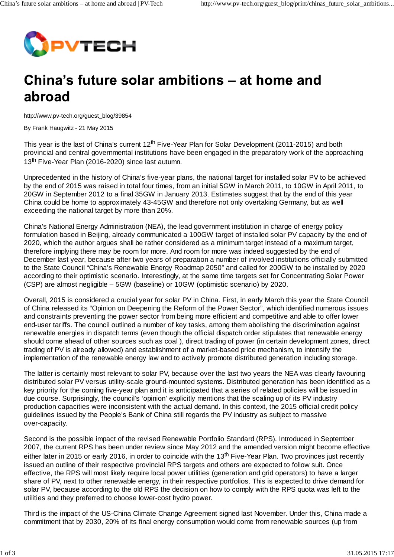

## China's future solar ambitions – at home and abroad

http://www.pv-tech.org/guest\_blog/39854

By Frank Haugwitz - 21 May 2015

This year is the last of China's current  $12<sup>th</sup>$  Five-Year Plan for Solar Development (2011-2015) and both provincial and central governmental institutions have been engaged in the preparatory work of the approaching 13<sup>th</sup> Five-Year Plan (2016-2020) since last autumn.

Unprecedented in the history of China's five-year plans, the national target for installed solar PV to be achieved by the end of 2015 was raised in total four times, from an initial 5GW in March 2011, to 10GW in April 2011, to 20GW in September 2012 to a final 35GW in January 2013. Estimates suggest that by the end of this year China could be home to approximately 43-45GW and therefore not only overtaking Germany, but as well exceeding the national target by more than 20%.

China's National Energy Administration (NEA), the lead government institution in charge of energy policy formulation based in Beijing, already communicated a 100GW target of installed solar PV capacity by the end of 2020, which the author argues shall be rather considered as a minimum target instead of a maximum target, therefore implying there may be room for more. And room for more was indeed suggested by the end of December last year, because after two years of preparation a number of involved institutions officially submitted to the State Council "China's Renewable Energy Roadmap 2050" and called for 200GW to be installed by 2020 according to their optimistic scenario. Interestingly, at the same time targets set for Concentrating Solar Power (CSP) are almost negligible – 5GW (baseline) or 10GW (optimistic scenario) by 2020.

Overall, 2015 is considered a crucial year for solar PV in China. First, in early March this year the State Council of China released its "Opinion on Deepening the Reform of the Power Sector", which identified numerous issues and constraints preventing the power sector from being more efficient and competitive and able to offer lower end-user tariffs. The council outlined a number of key tasks, among them abolishing the discrimination against renewable energies in dispatch terms (even though the official dispatch order stipulates that renewable energy should come ahead of other sources such as coal ), direct trading of power (in certain development zones, direct trading of PV is already allowed) and establishment of a market-based price mechanism, to intensify the implementation of the renewable energy law and to actively promote distributed generation including storage.

The latter is certainly most relevant to solar PV, because over the last two years the NEA was clearly favouring distributed solar PV versus utility-scale ground-mounted systems. Distributed generation has been identified as a key priority for the coming five-year plan and it is anticipated that a series of related policies will be issued in due course. Surprisingly, the council's 'opinion' explicitly mentions that the scaling up of its PV industry production capacities were inconsistent with the actual demand. In this context, the 2015 official credit policy guidelines issued by the People's Bank of China still regards the PV industry as subject to massive over-capacity.

Second is the possible impact of the revised Renewable Portfolio Standard (RPS). Introduced in September 2007, the current RPS has been under review since May 2012 and the amended version might become effective either later in 2015 or early 2016, in order to coincide with the 13<sup>th</sup> Five-Year Plan. Two provinces just recently issued an outline of their respective provincial RPS targets and others are expected to follow suit. Once effective, the RPS will most likely require local power utilities (generation and grid operators) to have a larger share of PV, next to other renewable energy, in their respective portfolios. This is expected to drive demand for solar PV, because according to the old RPS the decision on how to comply with the RPS quota was left to the utilities and they preferred to choose lower-cost hydro power.

Third is the impact of the US-China Climate Change Agreement signed last November. Under this, China made a commitment that by 2030, 20% of its final energy consumption would come from renewable sources (up from